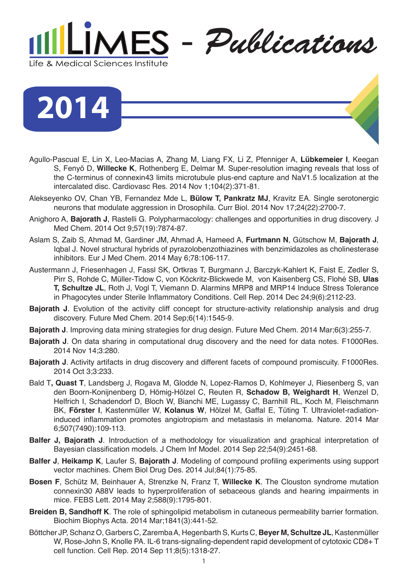

**2014**

- Agullo-Pascual E, Lin X, Leo-Macias A, Zhang M, Liang FX, Li Z, Pfenniger A, **Lübkemeier I**, Keegan S, Fenyö D, **Willecke K**, Rothenberg E, Delmar M. Super-resolution imaging reveals that loss of the C-terminus of connexin43 limits microtubule plus-end capture and NaV1.5 localization at the intercalated disc. Cardiovasc Res. 2014 Nov 1;104(2):371-81.
- Alekseyenko OV, Chan YB, Fernandez Mde L, **Bülow T, Pankratz MJ**, Kravitz EA. Single serotonergic neurons that modulate aggression in Drosophila. Curr Biol. 2014 Nov 17;24(22):2700-7.
- Anighoro A, **Bajorath J**, Rastelli G. Polypharmacology: challenges and opportunities in drug discovery. J Med Chem. 2014 Oct 9;57(19):7874-87.
- Aslam S, Zaib S, Ahmad M, Gardiner JM, Ahmad A, Hameed A, **Furtmann N**, Gütschow M, **Bajorath J**, Iqbal J. Novel structural hybrids of pyrazolobenzothiazines with benzimidazoles as cholinesterase inhibitors. Eur J Med Chem. 2014 May 6;78:106-117.
- Austermann J, Friesenhagen J, Fassl SK, Ortkras T, Burgmann J, Barczyk-Kahlert K, Faist E, Zedler S, Pirr S, Rohde C, Müller-Tidow C, von Köckritz-Blickwede M, von Kaisenberg CS, Flohé SB, **Ulas T, Schultze JL**, Roth J, Vogl T, Viemann D. Alarmins MRP8 and MRP14 Induce Stress Tolerance in Phagocytes under Sterile Inflammatory Conditions. Cell Rep. 2014 Dec 24;9(6):2112-23.
- **Bajorath J.** Evolution of the activity cliff concept for structure-activity relationship analysis and drug discovery. Future Med Chem. 2014 Sep;6(14):1545-9.
- **Bajorath J**. Improving data mining strategies for drug design. Future Med Chem. 2014 Mar;6(3):255-7.
- **Bajorath J**. On data sharing in computational drug discovery and the need for data notes. F1000Res. 2014 Nov 14;3:280.
- **Bajorath J**. Activity artifacts in drug discovery and different facets of compound promiscuity. F1000Res. 2014 Oct 3;3:233.
- Bald T**, Quast T**, Landsberg J, Rogava M, Glodde N, Lopez-Ramos D, Kohlmeyer J, Riesenberg S, van den Boorn-Konijnenberg D, Hömig-Hölzel C, Reuten R, **Schadow B, Weighardt H**, Wenzel D, Helfrich I, Schadendorf D, Bloch W, Bianchi ME, Lugassy C, Barnhill RL, Koch M, Fleischmann BK, **Förster I**, Kastenmüller W, **Kolanus W**, Hölzel M, Gaffal E, Tüting T. Ultraviolet-radiationinduced inflammation promotes angiotropism and metastasis in melanoma. Nature. 2014 Mar 6;507(7490):109-113.
- **Balfer J, Bajorath J**. Introduction of a methodology for visualization and graphical interpretation of Bayesian classification models. J Chem Inf Model. 2014 Sep 22;54(9):2451-68.
- **Balfer J**, **Heikamp K**, Laufer S, **Bajorath J**. Modeling of compound profiling experiments using support vector machines. Chem Biol Drug Des. 2014 Jul;84(1):75-85.
- **Bosen F**, Schütz M, Beinhauer A, Strenzke N, Franz T, **Willecke K**. The Clouston syndrome mutation connexin30 A88V leads to hyperproliferation of sebaceous glands and hearing impairments in mice. FEBS Lett. 2014 May 2;588(9):1795-801.
- **Breiden B, Sandhoff K**. The role of sphingolipid metabolism in cutaneous permeability barrier formation. Biochim Biophys Acta. 2014 Mar;1841(3):441-52.
- Böttcher JP, Schanz O, Garbers C, Zaremba A, Hegenbarth S, Kurts C, **Beyer M, Schultze JL**, Kastenmüller W, Rose-John S, Knolle PA. IL-6 trans-signaling-dependent rapid development of cytotoxic CD8+ T cell function. Cell Rep. 2014 Sep 11;8(5):1318-27.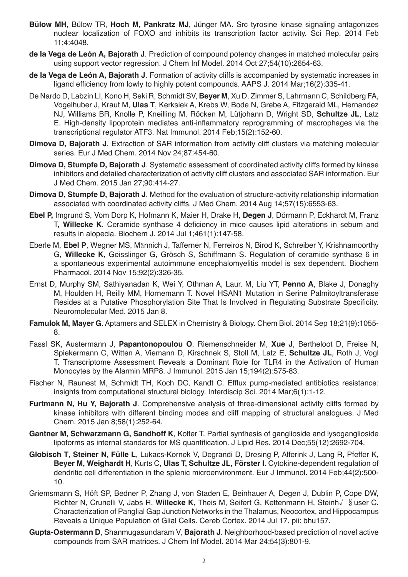- **Bülow MH**, Bülow TR, **Hoch M, Pankratz MJ**, Jünger MA. Src tyrosine kinase signaling antagonizes nuclear localization of FOXO and inhibits its transcription factor activity. Sci Rep. 2014 Feb 11;4:4048.
- **de la Vega de León A, Bajorath J**. Prediction of compound potency changes in matched molecular pairs using support vector regression. J Chem Inf Model. 2014 Oct 27;54(10):2654-63.
- **de la Vega de León A, Bajorath J**. Formation of activity cliffs is accompanied by systematic increases in ligand efficiency from lowly to highly potent compounds. AAPS J. 2014 Mar;16(2):335-41.
- De Nardo D, Labzin LI, Kono H, Seki R, Schmidt SV, **Beyer M**, Xu D, Zimmer S, Lahrmann C, Schildberg FA, Vogelhuber J, Kraut M, **Ulas T**, Kerksiek A, Krebs W, Bode N, Grebe A, Fitzgerald ML, Hernandez NJ, Williams BR, Knolle P, Kneilling M, Röcken M, Lütjohann D, Wright SD, **Schultze JL**, Latz E. High-density lipoprotein mediates anti-inflammatory reprogramming of macrophages via the transcriptional regulator ATF3. Nat Immunol. 2014 Feb;15(2):152-60.
- **Dimova D, Bajorath J**. Extraction of SAR information from activity cliff clusters via matching molecular series. Eur J Med Chem. 2014 Nov 24;87:454-60.
- **Dimova D, Stumpfe D, Bajorath J**. Systematic assessment of coordinated activity cliffs formed by kinase inhibitors and detailed characterization of activity cliff clusters and associated SAR information. Eur J Med Chem. 2015 Jan 27;90:414-27.
- **Dimova D, Stumpfe D, Bajorath J**. Method for the evaluation of structure-activity relationship information associated with coordinated activity cliffs. J Med Chem. 2014 Aug 14;57(15):6553-63.
- **Ebel P,** Imgrund S, Vom Dorp K, Hofmann K, Maier H, Drake H, **Degen J**, Dörmann P, Eckhardt M, Franz T, **Willecke K**. Ceramide synthase 4 deficiency in mice causes lipid alterations in sebum and results in alopecia. Biochem J. 2014 Jul 1;461(1):147-58.
- Eberle M, **Ebel P**, Wegner MS, Männich J, Tafferner N, Ferreiros N, Birod K, Schreiber Y, Krishnamoorthy G, **Willecke K**, Geisslinger G, Grösch S, Schiffmann S. Regulation of ceramide synthase 6 in a spontaneous experimental autoimmune encephalomyelitis model is sex dependent. Biochem Pharmacol. 2014 Nov 15;92(2):326-35.
- Ernst D, Murphy SM, Sathiyanadan K, Wei Y, Othman A, Laur. M, Liu YT, **Penno A**, Blake J, Donaghy M, Houlden H, Reilly MM, Hornemann T. Novel HSAN1 Mutation in Serine Palmitoyltransferase Resides at a Putative Phosphorylation Site That Is Involved in Regulating Substrate Specificity. Neuromolecular Med. 2015 Jan 8.
- **Famulok M, Mayer G**. Aptamers and SELEX in Chemistry & Biology. Chem Biol. 2014 Sep 18;21(9):1055- 8.
- Fassl SK, Austermann J, **Papantonopoulou O**, Riemenschneider M, **Xue J**, Bertheloot D, Freise N, Spiekermann C, Witten A, Viemann D, Kirschnek S, Stoll M, Latz E, **Schultze JL**, Roth J, Vogl T. Transcriptome Assessment Reveals a Dominant Role for TLR4 in the Activation of Human Monocytes by the Alarmin MRP8. J Immunol. 2015 Jan 15;194(2):575-83.
- Fischer N, Raunest M, Schmidt TH, Koch DC, Kandt C. Efflux pump-mediated antibiotics resistance: insights from computational structural biology. Interdiscip Sci. 2014 Mar;6(1):1-12.
- **Furtmann N, Hu Y, Bajorath J**. Comprehensive analysis of three-dimensional activity cliffs formed by kinase inhibitors with different binding modes and cliff mapping of structural analogues. J Med Chem. 2015 Jan 8;58(1):252-64.
- **Gantner M, Schwarzmann G, Sandhoff K**, Kolter T. Partial synthesis of ganglioside and lysoganglioside lipoforms as internal standards for MS quantification. J Lipid Res. 2014 Dec;55(12):2692-704.
- **Globisch T**, **Steiner N, Fülle L**, Lukacs-Kornek V, Degrandi D, Dresing P, Alferink J, Lang R, Pfeffer K, **Beyer M, Weighardt H**, Kurts C, **Ulas T, Schultze JL, Förster I**. Cytokine-dependent regulation of dendritic cell differentiation in the splenic microenvironment. Eur J Immunol. 2014 Feb;44(2):500- 10.
- Griemsmann S, Höft SP, Bedner P, Zhang J, von Staden E, Beinhauer A, Degen J, Dublin P, Cope DW, Richter N, Crunelli V, Jabs R, **Willecke K**, Theis M, Seifert G, Kettenmann H, Steinh√§user C. Characterization of Panglial Gap Junction Networks in the Thalamus, Neocortex, and Hippocampus Reveals a Unique Population of Glial Cells. Cereb Cortex. 2014 Jul 17. pii: bhu157.
- **Gupta-Ostermann D**, Shanmugasundaram V, **Bajorath J**. Neighborhood-based prediction of novel active compounds from SAR matrices. J Chem Inf Model. 2014 Mar 24;54(3):801-9.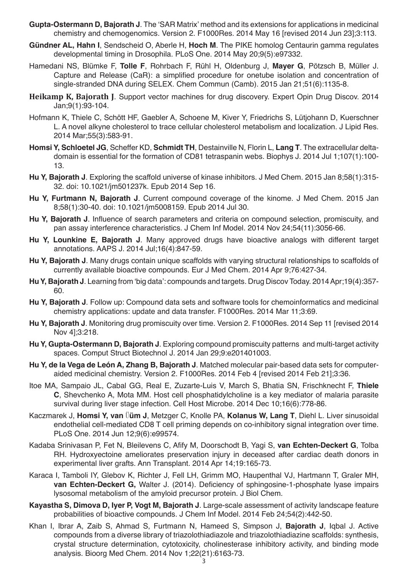- **Gupta-Ostermann D, Bajorath J**. The 'SAR Matrix' method and its extensions for applications in medicinal chemistry and chemogenomics. Version 2. F1000Res. 2014 May 16 [revised 2014 Jun 23];3:113.
- **Gündner AL, Hahn I**, Sendscheid O, Aberle H, **Hoch M**. The PIKE homolog Centaurin gamma regulates developmental timing in Drosophila. PLoS One. 2014 May 20;9(5):e97332.
- Hamedani NS, Blümke F, **Tolle F**, Rohrbach F, Rühl H, Oldenburg J, **Mayer G**, Pötzsch B, Müller J. Capture and Release (CaR): a simplified procedure for onetube isolation and concentration of single-stranded DNA during SELEX. Chem Commun (Camb). 2015 Jan 21;51(6):1135-8.
- **Heikamp K, Bajorath J**. Support vector machines for drug discovery. Expert Opin Drug Discov. 2014 Jan;9(1):93-104.
- Hofmann K, Thiele C, Schött HF, Gaebler A, Schoene M, Kiver Y, Friedrichs S, Lütjohann D, Kuerschner L. A novel alkyne cholesterol to trace cellular cholesterol metabolism and localization. J Lipid Res. 2014 Mar;55(3):583-91.
- **Homsi Y, Schloetel JG**, Scheffer KD, **Schmidt TH**, Destainville N, Florin L, **Lang T**. The extracellular deltadomain is essential for the formation of CD81 tetraspanin webs. Biophys J. 2014 Jul 1;107(1):100- 13.
- **Hu Y, Bajorath J**. Exploring the scaffold universe of kinase inhibitors. J Med Chem. 2015 Jan 8;58(1):315- 32. doi: 10.1021/jm501237k. Epub 2014 Sep 16.
- **Hu Y, Furtmann N, Bajorath J**. Current compound coverage of the kinome. J Med Chem. 2015 Jan 8;58(1):30-40. doi: 10.1021/jm5008159. Epub 2014 Jul 30.
- **Hu Y, Bajorath J**. Influence of search parameters and criteria on compound selection, promiscuity, and pan assay interference characteristics. J Chem Inf Model. 2014 Nov 24;54(11):3056-66.
- **Hu Y, Lounkine E, Bajorath J**. Many approved drugs have bioactive analogs with different target annotations. AAPS J. 2014 Jul;16(4):847-59.
- **Hu Y, Bajorath J**. Many drugs contain unique scaffolds with varying structural relationships to scaffolds of currently available bioactive compounds. Eur J Med Chem. 2014 Apr 9;76:427-34.
- **Hu Y, Bajorath J**. Learning from 'big data': compounds and targets. Drug Discov Today. 2014 Apr;19(4):357- 60.
- **Hu Y, Bajorath J**. Follow up: Compound data sets and software tools for chemoinformatics and medicinal chemistry applications: update and data transfer. F1000Res. 2014 Mar 11;3:69.
- **Hu Y, Bajorath J**. Monitoring drug promiscuity over time. Version 2. F1000Res. 2014 Sep 11 [revised 2014 Nov 4];3:218.
- **Hu Y, Gupta-Ostermann D, Bajorath J**. Exploring compound promiscuity patterns and multi-target activity spaces. Comput Struct Biotechnol J. 2014 Jan 29;9:e201401003.
- **Hu Y, de la Vega de León A, Zhang B, Bajorath J**. Matched molecular pair-based data sets for computeraided medicinal chemistry. Version 2. F1000Res. 2014 Feb 4 [revised 2014 Feb 21];3:36.
- Itoe MA, Sampaio JL, Cabal GG, Real E, Zuzarte-Luis V, March S, Bhatia SN, Frischknecht F, **Thiele C**, Shevchenko A, Mota MM. Host cell phosphatidylcholine is a key mediator of malaria parasite survival during liver stage infection. Cell Host Microbe. 2014 Dec 10;16(6):778-86.
- Kaczmarek J, **Homsi Y, van** Ü**üm J**, Metzger C, Knolle PA, **Kolanus W, Lang T**, Diehl L. Liver sinusoidal endothelial cell-mediated CD8 T cell priming depends on co-inhibitory signal integration over time. PLoS One. 2014 Jun 12;9(6):e99574.
- Kadaba Srinivasan P, Fet N, Bleilevens C, Afify M, Doorschodt B, Yagi S, **van Echten-Deckert G**, Tolba RH. Hydroxyectoine ameliorates preservation injury in deceased after cardiac death donors in experimental liver grafts. Ann Transplant. 2014 Apr 14;19:165-73.
- Karaca I, Tamboli IY, Glebov K, Richter J, Fell LH, Grimm MO, Haupenthal VJ, Hartmann T, Graler MH, **van Echten-Deckert G,** Walter J. (2014). Deficiency of sphingosine-1-phosphate lyase impairs lysosomal metabolism of the amyloid precursor protein. J Biol Chem.
- **Kayastha S, Dimova D, Iyer P, Vogt M, Bajorath J**. Large-scale assessment of activity landscape feature probabilities of bioactive compounds. J Chem Inf Model. 2014 Feb 24;54(2):442-50.
- Khan I, Ibrar A, Zaib S, Ahmad S, Furtmann N, Hameed S, Simpson J, **Bajorath J**, Iqbal J. Active compounds from a diverse library of triazolothiadiazole and triazolothiadiazine scaffolds: synthesis, crystal structure determination, cytotoxicity, cholinesterase inhibitory activity, and binding mode analysis. Bioorg Med Chem. 2014 Nov 1;22(21):6163-73.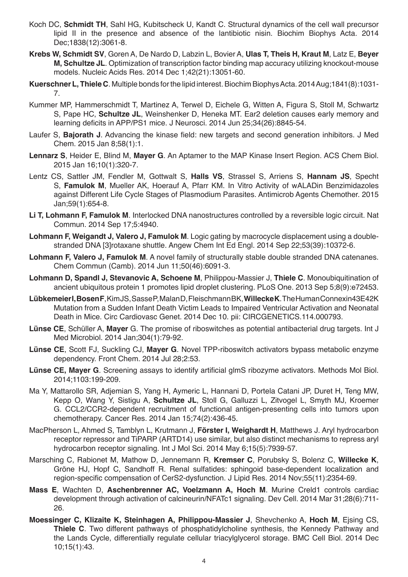- Koch DC, **Schmidt TH**, Sahl HG, Kubitscheck U, Kandt C. Structural dynamics of the cell wall precursor lipid II in the presence and absence of the lantibiotic nisin. Biochim Biophys Acta. 2014 Dec;1838(12):3061-8.
- **Krebs W, Schmidt SV**, Goren A, De Nardo D, Labzin L, Bovier A, **Ulas T, Theis H, Kraut M**, Latz E, **Beyer M, Schultze JL**. Optimization of transcription factor binding map accuracy utilizing knockout-mouse models. Nucleic Acids Res. 2014 Dec 1;42(21):13051-60.
- **Kuerschner L, Thiele C**. Multiple bonds for the lipid interest. Biochim Biophys Acta. 2014 Aug;1841(8):1031- 7.
- Kummer MP, Hammerschmidt T, Martinez A, Terwel D, Eichele G, Witten A, Figura S, Stoll M, Schwartz S, Pape HC, **Schultze JL**, Weinshenker D, Heneka MT. Ear2 deletion causes early memory and learning deficits in APP/PS1 mice. J Neurosci. 2014 Jun 25;34(26):8845-54.
- Laufer S, **Bajorath J**. Advancing the kinase field: new targets and second generation inhibitors. J Med Chem. 2015 Jan 8;58(1):1.
- **Lennarz S**, Heider E, Blind M, **Mayer G**. An Aptamer to the MAP Kinase Insert Region. ACS Chem Biol. 2015 Jan 16;10(1):320-7.
- Lentz CS, Sattler JM, Fendler M, Gottwalt S, **Halls VS**, Strassel S, Arriens S, **Hannam JS**, Specht S, **Famulok M**, Mueller AK, Hoerauf A, Pfarr KM. In Vitro Activity of wALADin Benzimidazoles against Different Life Cycle Stages of Plasmodium Parasites. Antimicrob Agents Chemother. 2015 Jan;59(1):654-8.
- **Li T, Lohmann F, Famulok M**. Interlocked DNA nanostructures controlled by a reversible logic circuit. Nat Commun. 2014 Sep 17;5:4940.
- **Lohmann F, Weigandt J, Valero J, Famulok M**. Logic gating by macrocycle displacement using a doublestranded DNA [3]rotaxane shuttle. Angew Chem Int Ed Engl. 2014 Sep 22;53(39):10372-6.
- **Lohmann F, Valero J, Famulok M**. A novel family of structurally stable double stranded DNA catenanes. Chem Commun (Camb). 2014 Jun 11;50(46):6091-3.
- **Lohmann D, Spandl J, Stevanovic A, Schoene M**, Philippou-Massier J, **Thiele C**. Monoubiquitination of ancient ubiquitous protein 1 promotes lipid droplet clustering. PLoS One. 2013 Sep 5;8(9):e72453.
- **Lübkemeier I, Bosen F**, Kim JS, Sasse P, Malan D, Fleischmann BK, **Willecke K**. The Human Connexin43E42K Mutation from a Sudden Infant Death Victim Leads to Impaired Ventricular Activation and Neonatal Death in Mice. Circ Cardiovasc Genet. 2014 Dec 10. pii: CIRCGENETICS.114.000793.
- **Lünse CE**, Schüller A, **Mayer** G. The promise of riboswitches as potential antibacterial drug targets. Int J Med Microbiol. 2014 Jan;304(1):79-92.
- **Lünse CE**, Scott FJ, Suckling CJ, **Mayer G**. Novel TPP-riboswitch activators bypass metabolic enzyme dependency. Front Chem. 2014 Jul 28;2:53.
- **Lünse CE, Mayer G**. Screening assays to identify artificial glmS ribozyme activators. Methods Mol Biol. 2014;1103:199-209.
- Ma Y, Mattarollo SR, Adjemian S, Yang H, Aymeric L, Hannani D, Portela Catani JP, Duret H, Teng MW, Kepp O, Wang Y, Sistigu A, **Schultze JL**, Stoll G, Galluzzi L, Zitvogel L, Smyth MJ, Kroemer G. CCL2/CCR2-dependent recruitment of functional antigen-presenting cells into tumors upon chemotherapy. Cancer Res. 2014 Jan 15;74(2):436-45.
- MacPherson L, Ahmed S, Tamblyn L, Krutmann J, **Förster I, Weighardt H**, Matthews J. Aryl hydrocarbon receptor repressor and TiPARP (ARTD14) use similar, but also distinct mechanisms to repress aryl hydrocarbon receptor signaling. Int J Mol Sci. 2014 May 6;15(5):7939-57.
- Marsching C, Rabionet M, Mathow D, Jennemann R, **Kremser C**, Porubsky S, Bolenz C, **Willecke K**, Gröne HJ, Hopf C, Sandhoff R. Renal sulfatides: sphingoid base-dependent localization and region-specific compensation of CerS2-dysfunction. J Lipid Res. 2014 Nov;55(11):2354-69.
- **Mass E**, Wachten D, **Aschenbrenner AC, Voelzmann A, Hoch M**. Murine Creld1 controls cardiac development through activation of calcineurin/NFATc1 signaling. Dev Cell. 2014 Mar 31;28(6):711- 26.
- **Moessinger C, Klizaite K, Steinhagen A, Philippou-Massier J**, Shevchenko A, **Hoch M**, Ejsing CS, **Thiele C**. Two different pathways of phosphatidylcholine synthesis, the Kennedy Pathway and the Lands Cycle, differentially regulate cellular triacylglycerol storage. BMC Cell Biol. 2014 Dec 10;15(1):43.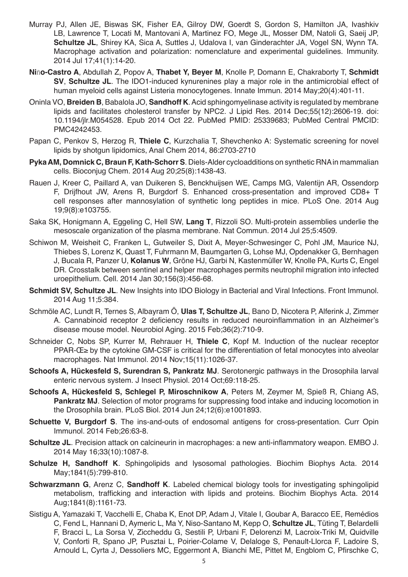- Murray PJ, Allen JE, Biswas SK, Fisher EA, Gilroy DW, Goerdt S, Gordon S, Hamilton JA, Ivashkiv LB, Lawrence T, Locati M, Mantovani A, Martinez FO, Mege JL, Mosser DM, Natoli G, Saeij JP, **Schultze JL**, Shirey KA, Sica A, Suttles J, Udalova I, van Ginderachter JA, Vogel SN, Wynn TA. Macrophage activation and polarization: nomenclature and experimental guidelines. Immunity. 2014 Jul 17;41(1):14-20.
- **Ni**ñ**o-Castro A**, Abdullah Z, Popov A, **Thabet Y, Beyer M**, Knolle P, Domann E, Chakraborty T, **Schmidt SV**, **Schultze JL**. The IDO1-induced kynurenines play a major role in the antimicrobial effect of human myeloid cells against Listeria monocytogenes. Innate Immun. 2014 May;20(4):401-11.
- Oninla VO, **Breiden B**, Babalola JO, **Sandhoff K**. Acid sphingomyelinase activity is regulated by membrane lipids and facilitates cholesterol transfer by NPC2. J Lipid Res. 2014 Dec;55(12):2606-19. doi: 10.1194/jlr.M054528. Epub 2014 Oct 22. PubMed PMID: 25339683; PubMed Central PMCID: PMC4242453.
- Papan C, Penkov S, Herzog R, **Thiele C**, Kurzchalia T, Shevchenko A: Systematic screening for novel lipids by shotgun lipidomics, Anal Chem 2014, 86:2703-2710
- **Pyka AM, Domnick C, Braun F, Kath-Schorr S**. Diels-Alder cycloadditions on synthetic RNA in mammalian cells. Bioconjug Chem. 2014 Aug 20;25(8):1438-43.
- Rauen J, Kreer C, Paillard A, van Duikeren S, Benckhuijsen WE, Camps MG, Valentijn AR, Ossendorp F, Drijfhout JW, Arens R, Burgdorf S. Enhanced cross-presentation and improved CD8+ T cell responses after mannosylation of synthetic long peptides in mice. PLoS One. 2014 Aug 19;9(8):e103755.
- Saka SK, Honigmann A, Eggeling C, Hell SW, **Lang T**, Rizzoli SO. Multi-protein assemblies underlie the mesoscale organization of the plasma membrane. Nat Commun. 2014 Jul 25;5:4509.
- Schiwon M, Weisheit C, Franken L, Gutweiler S, Dixit A, Meyer-Schwesinger C, Pohl JM, Maurice NJ, Thiebes S, Lorenz K, Quast T, Fuhrmann M, Baumgarten G, Lohse MJ, Opdenakker G, Bernhagen J, Bucala R, Panzer U, **Kolanus W**, Gröne HJ, Garbi N, Kastenmüller W, Knolle PA, Kurts C, Engel DR. Crosstalk between sentinel and helper macrophages permits neutrophil migration into infected uroepithelium. Cell. 2014 Jan 30;156(3):456-68.
- **Schmidt SV, Schultze JL**. New Insights into IDO Biology in Bacterial and Viral Infections. Front Immunol. 2014 Aug 11;5:384.
- Schmöle AC, Lundt R, Ternes S, Albayram Ö, **Ulas T, Schultze JL**, Bano D, Nicotera P, Alferink J, Zimmer A. Cannabinoid receptor 2 deficiency results in reduced neuroinflammation in an Alzheimer's disease mouse model. Neurobiol Aging. 2015 Feb;36(2):710-9.
- Schneider C, Nobs SP, Kurrer M, Rehrauer H, **Thiele C**, Kopf M. Induction of the nuclear receptor PPAR-Œ > by the cytokine GM-CSF is critical for the differentiation of fetal monocytes into alveolar macrophages. Nat Immunol. 2014 Nov;15(11):1026-37.
- **Schoofs A, Hückesfeld S, Surendran S, Pankratz MJ**. Serotonergic pathways in the Drosophila larval enteric nervous system. J Insect Physiol. 2014 Oct;69:118-25.
- **Schoofs A, Hückesfeld S, Schlegel P, Miroschnikow A**, Peters M, Zeymer M, Spieß R, Chiang AS, **Pankratz MJ**. Selection of motor programs for suppressing food intake and inducing locomotion in the Drosophila brain. PLoS Biol. 2014 Jun 24;12(6):e1001893.
- **Schuette V, Burgdorf S**. The ins-and-outs of endosomal antigens for cross-presentation. Curr Opin Immunol. 2014 Feb;26:63-8.
- **Schultze JL**. Precision attack on calcineurin in macrophages: a new anti-inflammatory weapon. EMBO J. 2014 May 16;33(10):1087-8.
- **Schulze H, Sandhoff K**. Sphingolipids and lysosomal pathologies. Biochim Biophys Acta. 2014 May;1841(5):799-810.
- **Schwarzmann G**, Arenz C, **Sandhoff K**. Labeled chemical biology tools for investigating sphingolipid metabolism, trafficking and interaction with lipids and proteins. Biochim Biophys Acta. 2014 Aug;1841(8):1161-73.
- Sistigu A, Yamazaki T, Vacchelli E, Chaba K, Enot DP, Adam J, Vitale I, Goubar A, Baracco EE, Remédios C, Fend L, Hannani D, Aymeric L, Ma Y, Niso-Santano M, Kepp O, **Schultze JL**, Tüting T, Belardelli F, Bracci L, La Sorsa V, Ziccheddu G, Sestili P, Urbani F, Delorenzi M, Lacroix-Triki M, Quidville V, Conforti R, Spano JP, Pusztai L, Poirier-Colame V, Delaloge S, Penault-Llorca F, Ladoire S, Arnould L, Cyrta J, Dessoliers MC, Eggermont A, Bianchi ME, Pittet M, Engblom C, Pfirschke C,